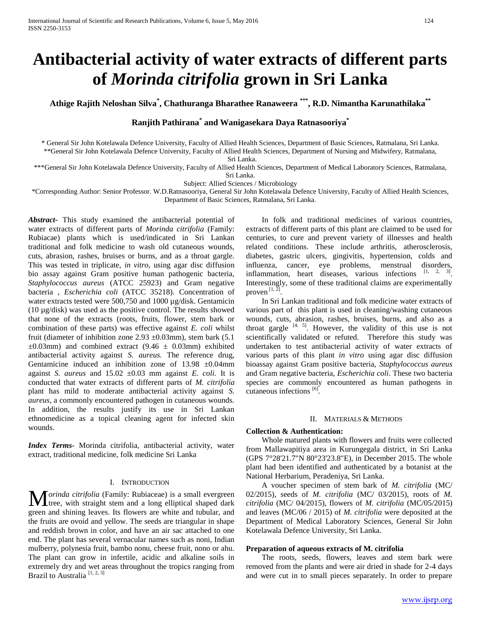# **Antibacterial activity of water extracts of different parts of** *Morinda citrifolia* **grown in Sri Lanka**

**Athige Rajith Neloshan Silva\* , Chathuranga Bharathee Ranaweera \*\*\* , R.D. Nimantha Karunathilaka \*\***

## **Ranjith Pathirana\* and Wanigasekara Daya Ratnasooriya\***

\* General Sir John Kotelawala Defence University, Faculty of Allied Health Sciences, Department of Basic Sciences, Ratmalana, Sri Lanka. \*\*General Sir John Kotelawala Defence University, Faculty of Allied Health Sciences, Department of Nursing and Midwifery, Ratmalana,

Sri Lanka.

\*\*\*General Sir John Kotelawala Defence University, Faculty of Allied Health Sciences, Department of Medical Laboratory Sciences, Ratmalana,

Sri Lanka.

Subject: Allied Sciences / Microbiology

\*Corresponding Author: Senior Professor. W.D.Ratnasooriya, General Sir John Kotelawala Defence University, Faculty of Allied Health Sciences, Department of Basic Sciences, Ratmalana, Sri Lanka.

*Abstract***-** This study examined the antibacterial potential of water extracts of different parts of *Morinda citrifolia* (Family: Rubiacae) plants which is used/indicated in Sri Lankan traditional and folk medicine to wash old cutaneous wounds, cuts, abrasion, rashes, bruises or burns, and as a throat gargle. This was tested in triplicate, *in vitro,* using agar disc diffusion bio assay against Gram positive human pathogenic bacteria, *Staphylococcus aureus* (ATCC 25923) and Gram negative bacteria , *Escherichia coli* (ATCC 35218). Concentration of water extracts tested were 500,750 and 1000 µg/disk. Gentamicin (10 µg/disk) was used as the positive control. The results showed that none of the extracts (roots, fruits, flower, stem bark or combination of these parts) was effective against *E. coli* whilst fruit (diameter of inhibition zone  $2.93 \pm 0.03$ mm), stem bark (5.1)  $\pm 0.03$ mm) and combined extract (9.46  $\pm$  0.03mm) exhibited antibacterial activity against *S. aureus.* The reference drug, Gentamicine induced an inhibition zone of  $13.98 \pm 0.04$ mm against *S. aureus* and 15.02 ±0.03 mm against *E. coli*. It is conducted that water extracts of different parts of *M. citrifolia* plant has mild to moderate antibacterial activity against *S. aureus*, a commonly encountered pathogen in cutaneous wounds. In addition, the results justify its use in Sri Lankan ethnomedicine as a topical cleaning agent for infected skin wounds.

*Index Terms*- Morinda citrifolia, antibacterial activity, water extract, traditional medicine, folk medicine Sri Lanka

#### I. INTRODUCTION

**M** *orinda citrifolia* (Family: Rubiaceae) is a small evergreen tree, with straight stem and a long elliptical shaped dark **L** tree, with straight stem and a long elliptical shaped dark green and shining leaves. Its flowers are white and tubular, and the fruits are ovoid and yellow. The seeds are triangular in shape and reddish brown in color, and have an air sac attached to one end. The plant has several vernacular names such as noni, Indian mulberry, polynesia fruit, bambo nonu, cheese fruit, nono or ahu. The plant can grow in infertile, acidic and alkaline soils in extremely dry and wet areas throughout the tropics ranging from Brazil to Australia<sup>[1, 2, 3]</sup>

 In folk and traditional medicines of various countries, extracts of different parts of this plant are claimed to be used for centuries, to cure and prevent variety of illnesses and health related conditions. These include arthritis, atherosclerosis, diabetes, gastric ulcers, gingivitis, hypertension, colds and influenza, cancer, eye problems, menstrual disorders, inflammation, heart diseases, various infections  $[1, 2, 3]$ . Interestingly, some of these traditional claims are experimentally proven  $[1, \overline{2}]$ .

 In Sri Lankan traditional and folk medicine water extracts of various part of this plant is used in cleaning/washing cutaneous wounds, cuts, abrasion, rashes, bruises, burns, and also as a throat gargle  $[4, 5]$ . However, the validity of this use is not scientifically validated or refuted. Therefore this study was undertaken to test antibacterial activity of water extracts of various parts of this plant *in vitro* using agar disc diffusion bioassay against Gram positive bacteria, *Staphylococcus aureus* and Gram negative bacteria, *Escherichia coli*. These two bacteria species are commonly encountered as human pathogens in cutaneous infections [6].

#### II. MATERIALS & METHODS

#### **Collection & Authentication:**

 Whole matured plants with flowers and fruits were collected from Mallawapitiya area in Kurungegala district, in Sri Lanka (GPS 7°28'21.7"N 80°23'23.8"E), in December 2015. The whole plant had been identified and authenticated by a botanist at the National Herbarium, Peradeniya, Sri Lanka.

 A voucher specimen of stem bark of *M. citrifolia* (MC/ 02/2015), seeds of *M. citrifolia* (MC/ 03/2015), roots of *M. citrifolia* (MC/ 04/2015), flowers of *M. citrifolia* (MC/05/2015) and leaves (MC/06 / 2015) of *M. citrifolia* were deposited at the Department of Medical Laboratory Sciences, General Sir John Kotelawala Defence University, Sri Lanka.

#### **Preparation of aqueous extracts of M. citrifolia**

 The roots, seeds, flowers, leaves and stem bark were removed from the plants and were air dried in shade for 2-4 days and were cut in to small pieces separately. In order to prepare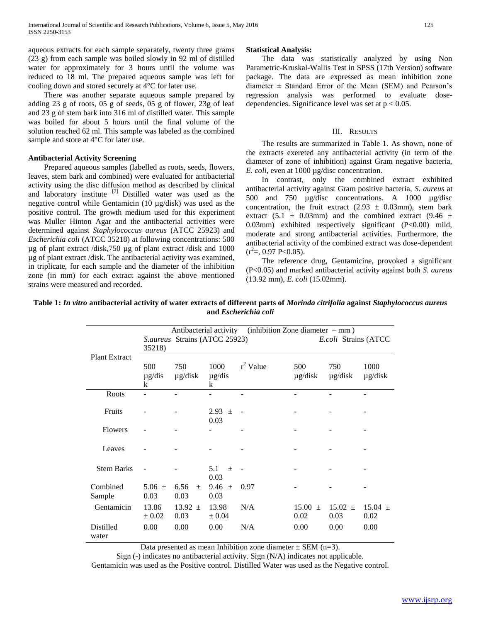aqueous extracts for each sample separately, twenty three grams (23 g) from each sample was boiled slowly in 92 ml of distilled water for approximately for 3 hours until the volume was reduced to 18 ml. The prepared aqueous sample was left for cooling down and stored securely at 4°C for later use.

 There was another separate aqueous sample prepared by adding 23 g of roots, 05 g of seeds, 05 g of flower, 23g of leaf and 23 g of stem bark into 316 ml of distilled water. This sample was boiled for about 5 hours until the final volume of the solution reached 62 ml. This sample was labeled as the combined sample and store at 4°C for later use.

### **Antibacterial Activity Screening**

 Prepared aqueous samples (labelled as roots, seeds, flowers, leaves, stem bark and combined) were evaluated for antibacterial activity using the disc diffusion method as described by clinical and laboratory institute <sup>[7]</sup> Distilled water was used as the negative control while Gentamicin (10 µg/disk) was used as the positive control. The growth medium used for this experiment was Muller Hinton Agar and the antibacterial activities were determined against *Staphylococcus aureus* (ATCC 25923) and *Escherichia coli* (ATCC 35218) at following concentrations: 500 µg of plant extract /disk,750 µg of plant extract /disk and 1000 µg of plant extract /disk. The antibacterial activity was examined, in triplicate, for each sample and the diameter of the inhibition zone (in mm) for each extract against the above mentioned strains were measured and recorded.

#### **Statistical Analysis:**

 The data was statistically analyzed by using Non Parametric-Kruskal-Wallis Test in SPSS (17th Version) software package. The data are expressed as mean inhibition zone diameter  $\pm$  Standard Error of the Mean (SEM) and Pearson's regression analysis was performed to evaluate dosedependencies. Significance level was set at  $p < 0.05$ .

## III. RESULTS

 The results are summarized in Table 1. As shown, none of the extracts exereted any antibacterial activity (in term of the diameter of zone of inhibition) against Gram negative bacteria, *E. coli*, even at 1000 µg/disc concentration.

 In contrast, only the combined extract exhibited antibacterial activity against Gram positive bacteria, *S. aureus* at 500 and 750 µg/disc concentrations. A 1000 µg/disc concentration, the fruit extract  $(2.93 \pm 0.03$ mm), stem bark extract (5.1  $\pm$  0.03mm) and the combined extract (9.46  $\pm$ 0.03mm) exhibited respectively significant (P<0.00) mild, moderate and strong antibacterial activities. Furthermore, the antibacterial activity of the combined extract was dose-dependent  $(r^2=, 0.97 P<0.05)$ .

 The reference drug, Gentamicine, provoked a significant (P<0.05) and marked antibacterial activity against both *S. aureus* (13.92 mm), *E. coli* (15.02mm).

| Table 1: In vitro antibacterial activity of water extracts of different parts of Morinda citrifolia against Staphylococcus aureus |
|-----------------------------------------------------------------------------------------------------------------------------------|
| and <i>Escherichia coli</i>                                                                                                       |

| <b>Plant Extract</b> | $(inhibition$ Zone diameter – mm)<br>Antibacterial activity<br>S. aureus Strains (ATCC 25923)<br>35218) |                     |                          |             |                      | E.coli Strains (ATCC |                      |
|----------------------|---------------------------------------------------------------------------------------------------------|---------------------|--------------------------|-------------|----------------------|----------------------|----------------------|
|                      | 500<br>$\mu$ g/dis<br>k                                                                                 | 750<br>$\mu$ g/disk | 1000<br>$\mu$ g/dis<br>k | $r^2$ Value | 500<br>$\mu$ g/disk  | 750<br>$\mu$ g/disk  | 1000<br>$\mu$ g/disk |
| Roots                |                                                                                                         |                     |                          |             |                      |                      |                      |
| Fruits               |                                                                                                         |                     | $2.93 +$<br>0.03         |             |                      |                      |                      |
| <b>Flowers</b>       |                                                                                                         |                     |                          |             |                      |                      |                      |
| Leaves               |                                                                                                         |                     |                          |             |                      |                      |                      |
| <b>Stem Barks</b>    |                                                                                                         |                     | 5.1<br>$\pm$<br>0.03     |             |                      |                      |                      |
| Combined<br>Sample   | 5.06 $\pm$<br>0.03                                                                                      | 6.56<br>$+$<br>0.03 | $9.46 \pm$<br>0.03       | 0.97        |                      |                      |                      |
| Gentamicin           | 13.86<br>$\pm 0.02$                                                                                     | $13.92 \pm$<br>0.03 | 13.98<br>$\pm 0.04$      | N/A         | 15.00<br>$+$<br>0.02 | $15.02 \pm$<br>0.03  | $15.04 \pm$<br>0.02  |
| Distilled<br>water   | 0.00                                                                                                    | 0.00                | 0.00                     | N/A         | 0.00                 | 0.00                 | 0.00                 |

Data presented as mean Inhibition zone diameter  $\pm$  SEM (n=3).

Sign (-) indicates no antibacterial activity. Sign (N/A) indicates not applicable. Gentamicin was used as the Positive control. Distilled Water was used as the Negative control.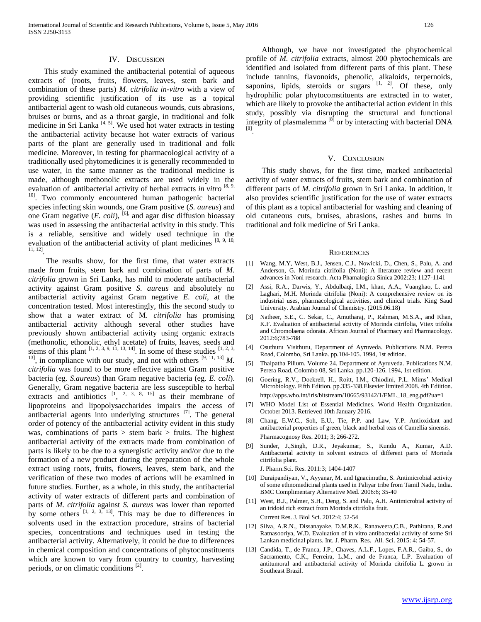#### IV. DISCUSSION

 This study examined the antibacterial potential of aqueous extracts of (roots, fruits, flowers, leaves, stem bark and combination of these parts) *M. citrifolia in-vitro* with a view of providing scientific justification of its use as a topical antibacterial agent to wash old cutaneous wounds, cuts abrasions, bruises or burns, and as a throat gargle, in traditional and folk medicine in Sri Lanka  $[4, 5]$ . We used hot water extracts in testing the antibacterial activity because hot water extracts of various parts of the plant are generally used in traditional and folk medicine. Moreover, in testing for pharmacological activity of a traditionally used phytomedicines it is generally recommended to use water, in the same manner as the traditional medicine is made, although methonolic extracts are used widely in the evaluation of antibacterial activity of herbal extracts *in vitro* [8, 9, <sup>10]</sup>. Two commonly encountered human pathogenic bacterial species infecting skin wounds, one Gram positive (*S. aureus*) and one Gram negative  $(E. \; coli)$ , <sup>[6],</sup> and agar disc diffusion bioassay was used in assessing the antibacterial activity in this study. This is a reliable, sensitive and widely used technique in the evaluation of the antibacterial activity of plant medicines  $[8, 9, 10, 10]$ 11, 12] .

 The results show, for the first time, that water extracts made from fruits, stem bark and combination of parts of *M. citrifolia* grown in Sri Lanka, has mild to moderate antibacterial activity against Gram positive *S. aureus* and absolutely no antibacterial activity against Gram negative *E. coli,* at the concentration tested. Most interestingly, this the second study to show that a water extract of M*. citrifolia* has promising antibacterial activity although several other studies have previously shown antibacterial activity using organic extracts (methonolic, ethonolic, ethyl acetate) of fruits, leaves, seeds and stems of this plant  $[1, 2, 3, 9, 11, 13, 14]$ . In some of these studies  $[1, 2, 3, 14]$ <sup>13]</sup>, in compliance with our study, and not with others  $[9, 11, 13]$  *M*. *citrifolia* was found to be more effective against Gram positive bacteria (eg. *S.aureus*) than Gram negative bacteria (eg. *E. coli*). Generally, Gram negative bacteria are less susceptible to herbal extracts and antibiotics  $\begin{bmatrix} 1 & 2 & 3 & 8 & 15 \end{bmatrix}$  as their membrane of lipoproteins and lipopolysaccharides impairs the access of antibacterial agents into underlying structures  $^{[7]}$ . The general order of potency of the antibacterial activity evident in this study was, combinations of parts  $>$  stem bark  $>$  fruits. The highest antibacterial activity of the extracts made from combination of parts is likely to be due to a synergistic activity and/or due to the formation of a new product during the preparation of the whole extract using roots, fruits, flowers, leaves, stem bark, and the verification of these two modes of actions will be examined in future studies. Further, as a whole, in this study, the antibacterial activity of water extracts of different parts and combination of parts of *M. citrifolia* against *S. aureus* was lower than reported by some others  $[1, 2, 3, 13]$ . This may be due to differences in solvents used in the extraction procedure, strains of bacterial species, concentrations and techniques used in testing the antibacterial activity. Alternatively, it could be due to differences in chemical composition and concentrations of phytoconstituents which are known to vary from country to country, harvesting periods, or on climatic conditions<sup>[2]</sup>.

 Although, we have not investigated the phytochemical profile of *M. citrifolia* extracts*,* almost 200 phytochemicals are identified and isolated from different parts of this plant. These include tannins, flavonoids, phenolic, alkaloids, terpernoids, saponins, lipids, steroids or sugars  $[1, 2]$ . Of these, only hydrophilic polar phytocomstituents are extracted in to water, which are likely to provoke the antibacterial action evident in this study, possibly via disrupting the structural and functional integrity of plasmalemma [8] or by interacting with bacterial DNA [8] .

#### V. CONCLUSION

 This study shows, for the first time, marked antibacterial activity of water extracts of fruits, stem bark and combination of different parts of *M. citrifolia* grown in Sri Lanka. In addition, it also provides scientific justification for the use of water extracts of this plant as a topical antibacterial for washing and cleaning of old cutaneous cuts, bruises, abrasions, rashes and burns in traditional and folk medicine of Sri Lanka.

#### **REFERENCES**

- [1] Wang, M.Y, West, B.J., Jensen, C.J., Nowicki, D., Chen, S., Palu, A. and Anderson, G. Morinda citrifolia (Noni): A literature review and recent advances in Noni research. Acta Phamalogica Sinica 2002:23; 1127-1141
- [2] Assi, R.A., Darwis, Y., Abdulbaqi, I.M., khan, A.A., Vuanghao, L. and Laghari, M.H. Morinda citrifolia (Noni): A comprehensive review on its industrial uses, pharmacological activities, and clinical trials. King Saud University. Arabian Journal of Chemistry. (2015.06.18)
- [3] Natheer, S.E., C. Sekar, C., Amutharaj, P., Rahman, M.S.A., and Khan, K.F. Evaluation of antibacterial activity of Morinda citrifolia, Vitex trifolia and Chromolaena odorata. African Journal of Pharmacy and Pharmacology. 2012:6;783-788
- [4] Osuthuru Visithuru, Department of Ayruveda. Publications N.M. Perera Road, Colombo, Sri Lanka. pp.104-105. 1994, 1st edition.
- [5] Thalpatha Pilium. Volume 24. Department of Ayruveda. Publications N.M. Perera Road, Colombo 08, Sri Lanka. pp.120-126. 1994, 1st edition.
- [6] Goering, R.V., Dockrell, H., Roitt, I.M., Chiodini, P.L. Mims' Medical Microbiology. Fifth Edition. pp.335-338.Elsevier limited 2008. 4th Ediition. http://apps.who.int/iris/bitstream/10665/93142/1/EML\_18\_eng.pdf?ua=1
- [7] WHO Model List of Essential Medicines. World Health Organization. October 2013. Retrieved 10th January 2016.
- [8] Chang, E.W.C., Soh, E.U., Tie, P.P. and Law, Y.P. Antioxidant and antibacterial properties of green, black and herbal teas of Camellia sinensis. Pharmacognosy Res. 2011; 3; 266-272.
- [9] Sunder, J.,Singh, D.R., Jeyakumar, S., Kundu A., Kumar, A.D. Antibacterial activity in solvent extracts of different parts of Morinda citrifolia plant.

J. Pharm.Sci. Res. 2011:3; 1404-1407

- [10] Duraipandiyan, V., Ayyanar, M. and Ignacimuthu, S. Antimicrobial activity of some ethnomedicinal plants used in Paliyar tribe from Tamil Nadu, India. BMC Complimentary Alternative Med. 2006:6; 35-40
- [11] West, B.J., Palmer, S.H., Deng, S. and Palu, A.H. Antimicrobial activity of an iridoid rich extract from Morinda citrifolia fruit. Current Res. J. Biol Sci. 2012:4; 52-54
- [12] Silva, A.R.N., Dissanayake, D.M.R.K., Ranaweera,C.B., Pathirana, R.and Ratnasooriya, W.D. Evaluation of in vitro antibacterial activity of some Sri Lankan medicinal plants. Int. J. Pharm. Res. All. Sci. 2015: 4: 54-57.
- [13] Candida, T., de Franca, J.P., Chaves, A.L.F., Lopes, F.A.R., Gaiba, S., do Sacramento, C.K., Ferreira, L.M., and de Franca, L.P. Evaluation of antitumoral and antibacterial activity of Morinda citrifolia L. grown in Southeast Brazil.